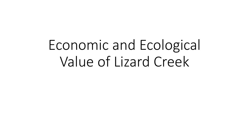Economic and Ecological Value of Lizard Creek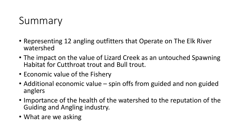## Summary

- Representing 12 angling outfitters that Operate on The Elk River watershed
- The impact on the value of Lizard Creek as an untouched Spawning Habitat for Cutthroat trout and Bull trout.
- Economic value of the Fishery
- Additional economic value spin offs from guided and non guided anglers
- Importance of the health of the watershed to the reputation of the Guiding and Angling industry.
- What are we asking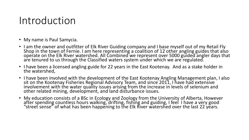#### Introduction

- My name is Paul Samycia.
- I am the owner and outfitter of Elk River Guiding company and I base myself out of my Retail Fly Shop in the town of Fernie. I am here representing a coalition of 12 other angling guides that also operate on the Elk River watershed. All Combined we represent over 5000 guided angler days that are tenured to us through the Classified waters system under which we are regulated.
- I have been a licensed angling guide for 22 years in the East Kootenay. And as a stake holder in the watershed,
- I have been involved with the development of the East Kootenay Angling Management plan, I also sit on the Kootenay Fisheries Regional Advisory Team, and since 2011, I have had extensive involvement with the water quality issues arising from the increase in levels of selenium and other related mining, development, and land disturbance issues.
- My education consists of a BSc in Ecology and Zoology from the University of Alberta, However after spending countless hours walking, drifting, fishing and guiding, I feel I have a very good "street sense" of what has been happening to the Elk River watershed over the last 22 years.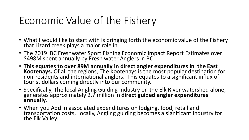# Economic Value of the Fishery

- What I would like to start with is bringing forth the economic value of the Fishery that Lizard creek plays a major role in.
- The 2019 BC Freshwater Sport Fishing Economic Impact Report Estimates over \$498M spent annually by Fresh water Anglers in BC
- **This equates to over 89M annually in direct angler expenditures in the East Kootenays.** Of all the regions, The Kootenays is the most popular destination for non-residents and international anglers. This equates to a significant influx of tourist dollars coming directly into our community.
- Specifically, The local Angling Guiding Industry on the Elk River watershed alone, generates approximately 2.7 million in **direct guided angler expenditures annually.**
- When you Add in associated expenditures on lodging, food, retail and transportation costs, Locally, Angling guiding becomes a significant industry for the Elk Valley.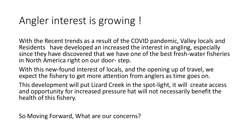## Angler interest is growing !

With the Recent trends as a result of the COVID pandemic, Valley locals and Residents have developed an increased the interest in angling, especially since they have discovered that we have one of the best fresh-water fisheries in North America right on our door- step.

With this new-found interest of locals, and the opening up of travel, we expect the fishery to get more attention from anglers as time goes on.

This development will put Lizard Creek in the spot-light, it will create access and opportunity for increased pressure hat will not necessarily benefit the health of this fishery.

So Moving Forward, What are our concerns?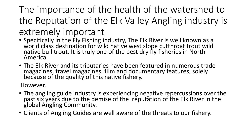## The importance of the health of the watershed to the Reputation of the Elk Valley Angling industry is extremely important

- Specifically in the Fly Fishing industry, The Elk River is well known as a world class destination for wild native west slope cutthroat trout wild native bull trout. It is truly one of the best dry fly fisheries in North America.
- The Elk River and its tributaries have been featured in numerous trade magazines, travel magazines, film and documentary features, solely because of the quality of this native fishery.

However,

- The angling guide industry is experiencing negative repercussions over the past six years due to the demise of the reputation of the Elk River in the global Angling Community.
- Clients of Angling Guides are well aware of the threats to our fishery.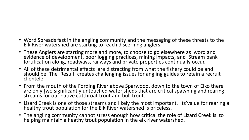- Word Spreads fast in the angling community and the messaging of these threats to the Elk River watershed are starting to reach discerning anglers.
- These Anglers are starting more and more, to choose to go elsewhere as word and evidence of development, poor logging practices, mining impacts, and Stream bank fortification along, roadways, railways and private properties continually occur.
- All of these detrimental effects are distracting from what the fishery could be and should be. The Result creates challenging issues for angling guides to retain a recruit clientele.
- From the mouth of the Fording River above Sparwood, down to the town of Elko there are only two significantly untouched water sheds that are critical spawning and rearing streams for our native cutthroat trout and bull trout.
- Lizard Creek is one of those streams and likely the most important. Its'value for rearing a healthy trout population for the Elk River watershed is priceless.
- The angling community cannot stress enough how critical the role of Lizard Creek is to helping maintain a heathy trout population in the elk river watershed.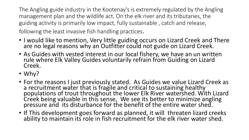The Angling guide industry in the Kootenay's is extremely regulated by the Angling management plan and the wildlife act. On the elk river and its tributaries, the guiding activity is primarily low impact, fully sustainable , catch and release, following the least invasive fish handling practices.

- I would like to mention, Very little guiding occurs on Lizard Creek and There are no legal reasons why an Outfitter could not guide on Lizard Creek.
- As Guides with vested interest in our local fishery, we have an un written rule where Elk Valley Guides voluntarily refrain from Guiding on Lizard Creek.
- Why?
- For the reasons I just previously stated. As Guides we value Lizard Creek as a recruitment water that is fragile and critical to sustaining healthy populations of trout throughout the lower Elk River watershed. With Lizard Creek being valuable in this sense, We see its better to minimize angling pressure and its disturbance for the benefit of the entire water shed.
- If This development goes forward as planned, it will threaten lizard creeks ability to maintain its role in fish recruitment for the elk river water shed.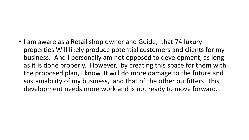• I am aware as a Retail shop owner and Guide, that 74 luxury properties Will likely produce potential customers and clients for my business. And I personally am not opposed to development, as long as it is done properly. However, by creating this space for them with the proposed plan, I know, It will do more damage to the future and sustainability of my business, and that of the other outfitters. This development needs more work and is not ready to move forward.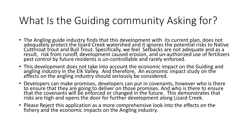# What Is the Guiding community Asking for?

- The Angling guide industry finds that this development with its current plan, does not adequately protect the lizard Creek watershed and it ignores the potential risks to Native Cutthroat trout and Bull Trout. Specifically, we feel Setbacks are not adequate and as a result, risk from runoff, development caused erosion, and un-authorized use of fertilizers pest control by future residents is un-controllable and rarely enforced.
- This development does not take into account the economic impact on the Guiding and angling industry in the Elk Valley. And therefore, An economic impact study on the effects on the angling industry should seriously be considered.
- Developers can make promises, developers can put in covenants, however who is there to ensure that they are going to deliver on those promises. And who is there to ensure that the covenants will be enforced or changed in the future. This demonstrates that risks are high and opens the door for further development along Lizard Creek.
- Please Reject this application as a more comprehensive look into the effects on the fishery and the economic impacts on the Angling industry.